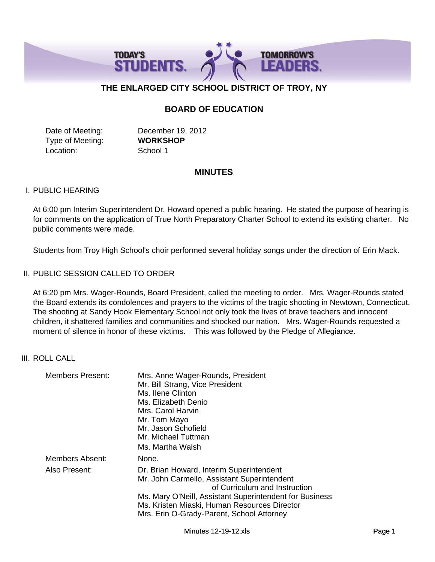

# **THE ENLARGED CITY SCHOOL DISTRICT OF TROY, NY**

# **BOARD OF EDUCATION**

Type of Meeting: **WORKSHOP** Location: School 1

Date of Meeting: December 19, 2012

# **MINUTES**

### I. PUBLIC HEARING

At 6:00 pm Interim Superintendent Dr. Howard opened a public hearing. He stated the purpose of hearing is for comments on the application of True North Preparatory Charter School to extend its existing charter. No public comments were made.

Students from Troy High School's choir performed several holiday songs under the direction of Erin Mack.

# II. PUBLIC SESSION CALLED TO ORDER

At 6:20 pm Mrs. Wager-Rounds, Board President, called the meeting to order. Mrs. Wager-Rounds stated the Board extends its condolences and prayers to the victims of the tragic shooting in Newtown, Connecticut. The shooting at Sandy Hook Elementary School not only took the lives of brave teachers and innocent children, it shattered families and communities and shocked our nation. Mrs. Wager-Rounds requested a moment of silence in honor of these victims. This was followed by the Pledge of Allegiance.

#### III. ROLL CALL

| <b>Members Present:</b> | Mrs. Anne Wager-Rounds, President<br>Mr. Bill Strang, Vice President<br>Ms. Ilene Clinton<br>Ms. Elizabeth Denio<br>Mrs. Carol Harvin<br>Mr. Tom Mayo<br>Mr. Jason Schofield<br>Mr. Michael Tuttman<br>Ms. Martha Walsh                                                          |
|-------------------------|----------------------------------------------------------------------------------------------------------------------------------------------------------------------------------------------------------------------------------------------------------------------------------|
| Members Absent:         | None.                                                                                                                                                                                                                                                                            |
| Also Present:           | Dr. Brian Howard, Interim Superintendent<br>Mr. John Carmello, Assistant Superintendent<br>of Curriculum and Instruction<br>Ms. Mary O'Neill, Assistant Superintendent for Business<br>Ms. Kristen Miaski, Human Resources Director<br>Mrs. Erin O-Grady-Parent, School Attorney |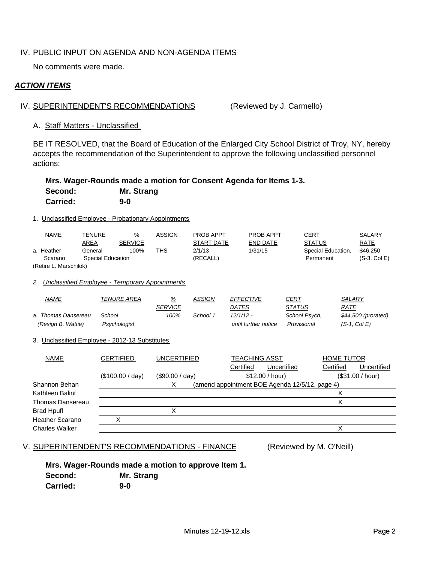# IV. PUBLIC INPUT ON AGENDA AND NON-AGENDA ITEMS

No comments were made.

# *ACTION ITEMS*

### IV. SUPERINTENDENT'S RECOMMENDATIONS (Reviewed by J. Carmello)

#### A. Staff Matters - Unclassified

BE IT RESOLVED, that the Board of Education of the Enlarged City School District of Troy, NY, hereby accepts the recommendation of the Superintendent to approve the following unclassified personnel actions:

# **Mrs. Wager-Rounds made a motion for Consent Agenda for Items 1-3.**

| Second:         | <b>Mr. Strang</b> |
|-----------------|-------------------|
| <b>Carried:</b> | $9-0$             |

### 1. Unclassified Employee - Probationary Appointments

|                              | <b>NAME</b>            | <b>TENURE</b> | $\frac{9}{6}$  | <b>ASSIGN</b> | <b>PROB APPT</b> | <b>PROB APPT</b> | <u>CERT</u>        | <b>SALARY</b> |
|------------------------------|------------------------|---------------|----------------|---------------|------------------|------------------|--------------------|---------------|
|                              |                        | AREA          | <b>SERVICE</b> |               | START DATE       | END DATE         | <b>STATUS</b>      | RATE          |
|                              | a. Heather             | General       | 100%           | THS           | 2/1/13           | 1/31/15          | Special Education, | \$46,250      |
| Special Education<br>Scarano |                        |               |                | (RECALL)      |                  | Permanent        | $(S-3, Col E)$     |               |
|                              | (Retire L. Marschilok) |               |                |               |                  |                  |                    |               |

## *2. Unclassified Employee - Temporary Appointments*

| <u>NAME</u>         | TENURE AREA  | <u>%</u>       | ASSIGN   | <b>EFFECTIVE</b>     | CERT          | SALARY              |
|---------------------|--------------|----------------|----------|----------------------|---------------|---------------------|
|                     |              | <b>SERVICE</b> |          | DATES                | <i>STATUS</i> | <u>RATE</u>         |
| a. Thomas Dansereau | School       | 100%           | School 1 | $12/1/12 -$          | School Psych, | \$44,500 (prorated) |
| (Resign B. Wattie)  | Psychologist |                |          | until further notice | Provisional   | $(S-1, Col E)$      |

#### 3. Unclassified Employee - 2012-13 Substitutes

| <b>NAME</b>            | <b>CERTIFIED</b> | UNCERTIFIED        | <b>TEACHING ASST</b>                           | <b>HOME TUTOR</b>        |
|------------------------|------------------|--------------------|------------------------------------------------|--------------------------|
|                        |                  |                    | Uncertified<br>Certified                       | Certified<br>Uncertified |
|                        | (\$100.00 / day) | $($ \$90.00 / day) | \$12.00 / hour)                                | (\$31.00 / hour)         |
| Shannon Behan          |                  |                    | (amend appointment BOE Agenda 12/5/12, page 4) |                          |
| Kathleen Balint        |                  |                    |                                                |                          |
| Thomas Dansereau       |                  |                    |                                                |                          |
| <b>Brad Hpufl</b>      |                  |                    |                                                |                          |
| <b>Heather Scarano</b> |                  |                    |                                                |                          |
| <b>Charles Walker</b>  |                  |                    |                                                |                          |

#### V. SUPERINTENDENT'S RECOMMENDATIONS - FINANCE (Reviewed by M. O'Neill)

# **Mrs. Wager-Rounds made a motion to approve Item 1.**

**Second: Mr. Strang Carried: 9-0**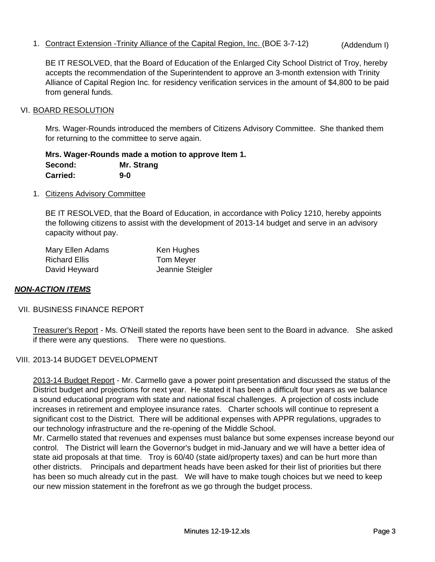1. Contract Extension -Trinity Alliance of the Capital Region, Inc. (BOE 3-7-12) (Addendum I)

BE IT RESOLVED, that the Board of Education of the Enlarged City School District of Troy, hereby accepts the recommendation of the Superintendent to approve an 3-month extension with Trinity Alliance of Capital Region Inc. for residency verification services in the amount of \$4,800 to be paid from general funds.

## VI. BOARD RESOLUTION

Mrs. Wager-Rounds introduced the members of Citizens Advisory Committee. She thanked them for returning to the committee to serve again.

**Mrs. Wager-Rounds made a motion to approve Item 1. Second: Mr. Strang Carried: 9-0**

1. Citizens Advisory Committee

BE IT RESOLVED, that the Board of Education, in accordance with Policy 1210, hereby appoints the following citizens to assist with the development of 2013-14 budget and serve in an advisory capacity without pay.

| Mary Ellen Adams     | Ken Hughes       |
|----------------------|------------------|
| <b>Richard Ellis</b> | Tom Meyer        |
| David Heyward        | Jeannie Steigler |

# *NON-ACTION ITEMS*

#### VII. BUSINESS FINANCE REPORT

Treasurer's Report - Ms. O'Neill stated the reports have been sent to the Board in advance. She asked if there were any questions. There were no questions.

# VIII. 2013-14 BUDGET DEVELOPMENT

2013-14 Budget Report - Mr. Carmello gave a power point presentation and discussed the status of the District budget and projections for next year. He stated it has been a difficult four years as we balance a sound educational program with state and national fiscal challenges. A projection of costs include increases in retirement and employee insurance rates. Charter schools will continue to represent a significant cost to the District. There will be additional expenses with APPR regulations, upgrades to our technology infrastructure and the re-opening of the Middle School.

Mr. Carmello stated that revenues and expenses must balance but some expenses increase beyond our control. The District will learn the Governor's budget in mid-January and we will have a better idea of state aid proposals at that time. Troy is 60/40 (state aid/property taxes) and can be hurt more than other districts. Principals and department heads have been asked for their list of priorities but there has been so much already cut in the past. We will have to make tough choices but we need to keep our new mission statement in the forefront as we go through the budget process.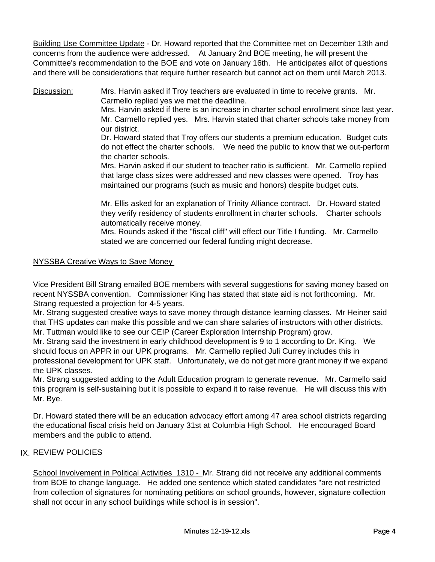Building Use Committee Update - Dr. Howard reported that the Committee met on December 13th and concerns from the audience were addressed. At January 2nd BOE meeting, he will present the Committee's recommendation to the BOE and vote on January 16th. He anticipates allot of questions and there will be considerations that require further research but cannot act on them until March 2013.

Discussion: Mrs. Harvin asked if Troy teachers are evaluated in time to receive grants. Mr. Carmello replied yes we met the deadline.

Mrs. Harvin asked if there is an increase in charter school enrollment since last year. Mr. Carmello replied yes. Mrs. Harvin stated that charter schools take money from our district.

Dr. Howard stated that Troy offers our students a premium education. Budget cuts do not effect the charter schools. We need the public to know that we out-perform the charter schools.

Mrs. Harvin asked if our student to teacher ratio is sufficient. Mr. Carmello replied that large class sizes were addressed and new classes were opened. Troy has maintained our programs (such as music and honors) despite budget cuts.

Mr. Ellis asked for an explanation of Trinity Alliance contract. Dr. Howard stated they verify residency of students enrollment in charter schools. Charter schools automatically receive money.

Mrs. Rounds asked if the "fiscal cliff" will effect our Title I funding. Mr. Carmello stated we are concerned our federal funding might decrease.

# NYSSBA Creative Ways to Save Money NYSSBA Creative Ways to Save

Vice President Bill Strang emailed BOE members with several suggestions for saving money based on recent NYSSBA convention. Commissioner King has stated that state aid is not forthcoming. Mr. Strang requested a projection for 4-5 years.

Mr. Strang suggested creative ways to save money through distance learning classes. Mr Heiner said that THS updates can make this possible and we can share salaries of instructors with other districts. Mr. Tuttman would like to see our CEIP (Career Exploration Internship Program) grow.

Mr. Strang said the investment in early childhood development is 9 to 1 according to Dr. King. We should focus on APPR in our UPK programs. Mr. Carmello replied Juli Currey includes this in professional development for UPK staff. Unfortunately, we do not get more grant money if we expand the UPK classes.

Mr. Strang suggested adding to the Adult Education program to generate revenue. Mr. Carmello said this program is self-sustaining but it is possible to expand it to raise revenue. He will discuss this with Mr. Bye.

Dr. Howard stated there will be an education advocacy effort among 47 area school districts regarding the educational fiscal crisis held on January 31st at Columbia High School. He encouraged Board members and the public to attend.

# IX. REVIEW POLICIES

School Involvement in Political Activities 1310 - Mr. Strang did not receive any additional comments from BOE to change language. He added one sentence which stated candidates "are not restricted from collection of signatures for nominating petitions on school grounds, however, signature collection shall not occur in any school buildings while school is in session".